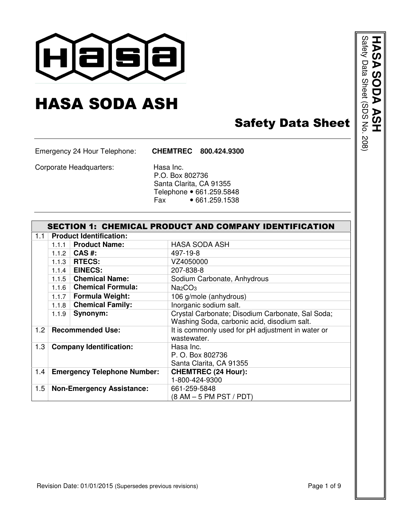

# HASA SODA ASH

## Safety Data Sheet

Emergency 24 Hour Telephone: **CHEMTREC 800.424.9300**

Corporate Headquarters: Hasa Inc.

 P.O. Box 802736 Santa Clarita, CA 91355 Telephone • 661.259.5848<br>Fax • 661.259.1538  $•661.259.1538$ 

|                  | <b>SECTION 1: CHEMICAL PRODUCT AND COMPANY IDENTIFICATION</b> |                                    |                                                                  |  |  |
|------------------|---------------------------------------------------------------|------------------------------------|------------------------------------------------------------------|--|--|
| 1.1              |                                                               | <b>Product Identification:</b>     |                                                                  |  |  |
|                  | 111                                                           | <b>Product Name:</b>               | <b>HASA SODA ASH</b>                                             |  |  |
|                  | 1.1.2                                                         | CAS #:                             | 497-19-8                                                         |  |  |
|                  | 1.1.3                                                         | <b>RTECS:</b>                      | VZ4050000                                                        |  |  |
|                  | 1.1.4                                                         | <b>EINECS:</b>                     | 207-838-8                                                        |  |  |
|                  |                                                               | 1.1.5 Chemical Name:               | Sodium Carbonate, Anhydrous                                      |  |  |
|                  | 1.1.6                                                         | <b>Chemical Formula:</b>           | Na <sub>2</sub> CO <sub>3</sub>                                  |  |  |
|                  | 1.1.7                                                         | <b>Formula Weight:</b>             | 106 g/mole (anhydrous)                                           |  |  |
|                  | 1.1.8                                                         | <b>Chemical Family:</b>            | Inorganic sodium salt.                                           |  |  |
|                  | 1.1.9                                                         | Synonym:                           | Crystal Carbonate; Disodium Carbonate, Sal Soda;                 |  |  |
|                  |                                                               |                                    | Washing Soda, carbonic acid, disodium salt.                      |  |  |
| 1.2 <sub>1</sub> |                                                               | <b>Recommended Use:</b>            | It is commonly used for pH adjustment in water or<br>wastewater. |  |  |
| 1.3              |                                                               | <b>Company Identification:</b>     | Hasa Inc.                                                        |  |  |
|                  |                                                               |                                    | P. O. Box 802736                                                 |  |  |
|                  |                                                               |                                    | Santa Clarita, CA 91355                                          |  |  |
| 1.4              |                                                               | <b>Emergency Telephone Number:</b> | <b>CHEMTREC (24 Hour):</b>                                       |  |  |
|                  |                                                               |                                    | 1-800-424-9300                                                   |  |  |
| 1.5              |                                                               | <b>Non-Emergency Assistance:</b>   | 661-259-5848                                                     |  |  |
|                  |                                                               |                                    | (8 AM – 5 PM PST / PDT)                                          |  |  |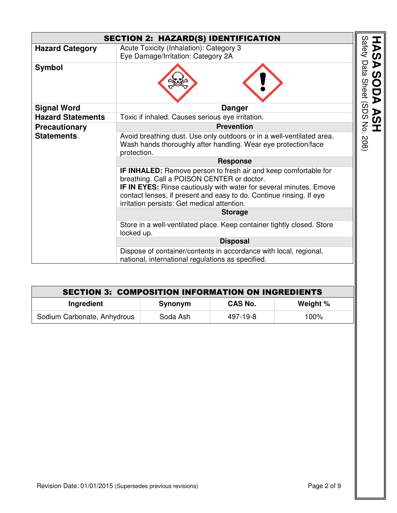|                          | <b>SECTION 2: HAZARD(S) IDENTIFICATION</b>                                                                                                                                                                                                                                                                       |        |
|--------------------------|------------------------------------------------------------------------------------------------------------------------------------------------------------------------------------------------------------------------------------------------------------------------------------------------------------------|--------|
| <b>Hazard Category</b>   | Acute Toxicity (Inhalation): Category 3<br>Eye Damage/Irritation: Category 2A                                                                                                                                                                                                                                    | Safety |
| <b>Symbol</b>            |                                                                                                                                                                                                                                                                                                                  |        |
| <b>Signal Word</b>       | <b>Danger</b>                                                                                                                                                                                                                                                                                                    |        |
| <b>Hazard Statements</b> | Toxic if inhaled. Causes serious eye irritation.                                                                                                                                                                                                                                                                 |        |
| <b>Precautionary</b>     | <b>Prevention</b>                                                                                                                                                                                                                                                                                                |        |
| <b>Statements</b>        | Avoid breathing dust. Use only outdoors or in a well-ventilated area.<br>Wash hands thoroughly after handling. Wear eye protection/face<br>protection.                                                                                                                                                           |        |
|                          | <b>Response</b>                                                                                                                                                                                                                                                                                                  |        |
|                          | IF INHALED: Remove person to fresh air and keep comfortable for<br>breathing. Call a POISON CENTER or doctor.<br><b>IF IN EYES:</b> Rinse cautiously with water for several minutes. Emove<br>contact lenses, if present and easy to do. Continue rinsing. If eye<br>irritation persists: Get medical attention. |        |
|                          | <b>Storage</b>                                                                                                                                                                                                                                                                                                   |        |
|                          | Store in a well-ventilated place. Keep container tightly closed. Store<br>locked up.                                                                                                                                                                                                                             |        |
|                          | <b>Disposal</b>                                                                                                                                                                                                                                                                                                  |        |
|                          | Dispose of container/contents in accordance with local, regional,<br>national, international regulations as specified.                                                                                                                                                                                           |        |

| <b>SECTION 3: COMPOSITION INFORMATION ON INGREDIENTS</b> |          |                |          |  |
|----------------------------------------------------------|----------|----------------|----------|--|
| Ingredient                                               | Synonym  | <b>CAS No.</b> | Weight % |  |
| Sodium Carbonate, Anhydrous                              | Soda Ash | 497-19-8       | $100\%$  |  |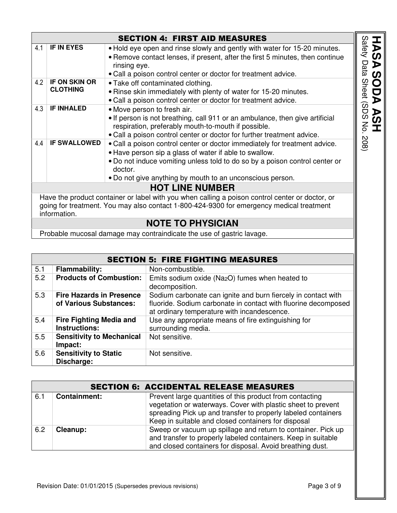|                            |                                  | <b>SECTION 4: FIRST AID MEASURES</b>                                                                                                                                                                                                                                                        |
|----------------------------|----------------------------------|---------------------------------------------------------------------------------------------------------------------------------------------------------------------------------------------------------------------------------------------------------------------------------------------|
| 4.1                        | IF IN EYES                       | • Hold eye open and rinse slowly and gently with water for 15-20 minutes.<br>• Remove contact lenses, if present, after the first 5 minutes, then continue<br>rinsing eye.<br>. Call a poison control center or doctor for treatment advice.                                                |
| 4.2                        | IF ON SKIN OR<br><b>CLOTHING</b> | • Take off contaminated clothing.<br>. Rinse skin immediately with plenty of water for 15-20 minutes.<br>. Call a poison control center or doctor for treatment advice.                                                                                                                     |
| 4.3                        | <b>IF INHALED</b>                | • Move person to fresh air.<br>• If person is not breathing, call 911 or an ambulance, then give artificial<br>respiration, preferably mouth-to-mouth if possible.<br>. Call a poison control center or doctor for further treatment advice.                                                |
| <b>IF SWALLOWED</b><br>4.4 |                                  | . Call a poison control center or doctor immediately for treatment advice.<br>• Have person sip a glass of water if able to swallow.<br>. Do not induce vomiting unless told to do so by a poison control center or<br>doctor.<br>. Do not give anything by mouth to an unconscious person. |
|                            |                                  | <b>HOT LINE NUMBER</b>                                                                                                                                                                                                                                                                      |
|                            | information.                     | Have the product container or label with you when calling a poison control center or doctor, or<br>going for treatment. You may also contact 1-800-424-9300 for emergency medical treatment                                                                                                 |
|                            |                                  | <b>NOTE TO PHYSICIAN</b>                                                                                                                                                                                                                                                                    |
|                            |                                  | Probable mucosal damage may contraindicate the use of gastric lavage.                                                                                                                                                                                                                       |

|     |                                                           | <b>SECTION 5: FIRE FIGHTING MEASURES</b>                                                                                                                                       |
|-----|-----------------------------------------------------------|--------------------------------------------------------------------------------------------------------------------------------------------------------------------------------|
| 5.1 | <b>Flammability:</b>                                      | Non-combustible.                                                                                                                                                               |
| 5.2 | <b>Products of Combustion:</b>                            | Emits sodium oxide (Na <sub>2</sub> O) fumes when heated to<br>decomposition.                                                                                                  |
| 5.3 | <b>Fire Hazards in Presence</b><br>of Various Substances: | Sodium carbonate can ignite and burn fiercely in contact with<br>fluoride. Sodium carbonate in contact with fluorine decomposed<br>at ordinary temperature with incandescence. |
| 5.4 | <b>Fire Fighting Media and</b><br><b>Instructions:</b>    | Use any appropriate means of fire extinguishing for<br>surrounding media.                                                                                                      |
| 5.5 | <b>Sensitivity to Mechanical</b><br>Impact:               | Not sensitive.                                                                                                                                                                 |
| 5.6 | <b>Sensitivity to Static</b><br>Discharge:                | Not sensitive.                                                                                                                                                                 |

|     |                     | <b>SECTION 6: ACCIDENTAL RELEASE MEASURES</b>                                                                                                                                                                                                    |
|-----|---------------------|--------------------------------------------------------------------------------------------------------------------------------------------------------------------------------------------------------------------------------------------------|
| 6.1 | <b>Containment:</b> | Prevent large quantities of this product from contacting<br>vegetation or waterways. Cover with plastic sheet to prevent<br>spreading Pick up and transfer to properly labeled containers<br>Keep in suitable and closed containers for disposal |
| 6.2 | Cleanup:            | Sweep or vacuum up spillage and return to container. Pick up<br>and transfer to properly labeled containers. Keep in suitable<br>and closed containers for disposal. Avoid breathing dust.                                                       |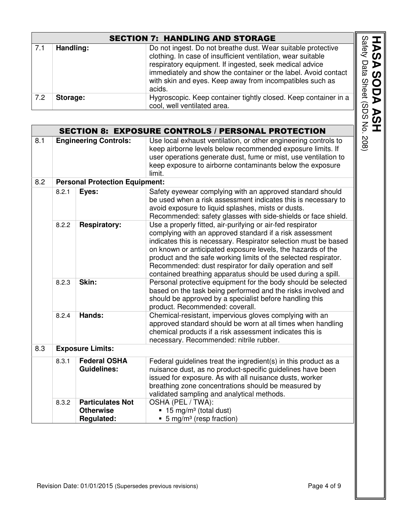|     |                              | <b>SECTION 7: HANDLING AND STORAGE</b>                                                                                                                                                                                                                                                                                          |
|-----|------------------------------|---------------------------------------------------------------------------------------------------------------------------------------------------------------------------------------------------------------------------------------------------------------------------------------------------------------------------------|
| 7.1 | Handling:                    | Do not ingest. Do not breathe dust. Wear suitable protective<br>clothing. In case of insufficient ventilation, wear suitable<br>respiratory equipment. If ingested, seek medical advice<br>immediately and show the container or the label. Avoid contact<br>with skin and eyes. Keep away from incompatibles such as<br>acids. |
| 7.2 | Storage:                     | Hygroscopic. Keep container tightly closed. Keep container in a<br>cool, well ventilated area.                                                                                                                                                                                                                                  |
|     |                              |                                                                                                                                                                                                                                                                                                                                 |
|     |                              | <b>SECTION 8: EXPOSURE CONTROLS / PERSONAL PROTECTION</b>                                                                                                                                                                                                                                                                       |
| 8.1 | <b>Engineering Controls:</b> | Use local exhaust ventilation, or other engineering controls to<br>keep airborne levels below recommended exposure limits. If                                                                                                                                                                                                   |

|     | <b>SECTION 8: EXPOSURE CONTROLS / PERSONAL PROTECTION</b> |                                             |                                                                                                                                                                                                                                                                                                                                                                                                                                                          |  |  |
|-----|-----------------------------------------------------------|---------------------------------------------|----------------------------------------------------------------------------------------------------------------------------------------------------------------------------------------------------------------------------------------------------------------------------------------------------------------------------------------------------------------------------------------------------------------------------------------------------------|--|--|
| 8.1 | <b>Engineering Controls:</b>                              |                                             | Use local exhaust ventilation, or other engineering controls to<br>keep airborne levels below recommended exposure limits. If<br>user operations generate dust, fume or mist, use ventilation to<br>keep exposure to airborne contaminants below the exposure<br>limit.                                                                                                                                                                                  |  |  |
| 8.2 |                                                           | <b>Personal Protection Equipment:</b>       |                                                                                                                                                                                                                                                                                                                                                                                                                                                          |  |  |
|     | Eyes:<br>8.2.1                                            |                                             | Safety eyewear complying with an approved standard should<br>be used when a risk assessment indicates this is necessary to<br>avoid exposure to liquid splashes, mists or dusts.<br>Recommended: safety glasses with side-shields or face shield.                                                                                                                                                                                                        |  |  |
|     | 8.2.2                                                     | <b>Respiratory:</b>                         | Use a properly fitted, air-purifying or air-fed respirator<br>complying with an approved standard if a risk assessment<br>indicates this is necessary. Respirator selection must be based<br>on known or anticipated exposure levels, the hazards of the<br>product and the safe working limits of the selected respirator.<br>Recommended: dust respirator for daily operation and self<br>contained breathing apparatus should be used during a spill. |  |  |
|     | 8.2.3                                                     | Skin:                                       | Personal protective equipment for the body should be selected<br>based on the task being performed and the risks involved and<br>should be approved by a specialist before handling this<br>product. Recommended: coverall.                                                                                                                                                                                                                              |  |  |
|     | 8.2.4                                                     | Hands:                                      | Chemical-resistant, impervious gloves complying with an<br>approved standard should be worn at all times when handling<br>chemical products if a risk assessment indicates this is<br>necessary. Recommended: nitrile rubber.                                                                                                                                                                                                                            |  |  |
| 8.3 |                                                           | <b>Exposure Limits:</b>                     |                                                                                                                                                                                                                                                                                                                                                                                                                                                          |  |  |
|     | 8.3.1                                                     | <b>Federal OSHA</b><br><b>Guidelines:</b>   | Federal guidelines treat the ingredient(s) in this product as a<br>nuisance dust, as no product-specific guidelines have been<br>issued for exposure. As with all nuisance dusts, worker<br>breathing zone concentrations should be measured by<br>validated sampling and analytical methods.                                                                                                                                                            |  |  |
|     | 8.3.2                                                     | <b>Particulates Not</b><br><b>Otherwise</b> | OSHA (PEL / TWA):<br>15 mg/m <sup>3</sup> (total dust)                                                                                                                                                                                                                                                                                                                                                                                                   |  |  |
|     |                                                           | <b>Regulated:</b>                           | 5 mg/m <sup>3</sup> (resp fraction)                                                                                                                                                                                                                                                                                                                                                                                                                      |  |  |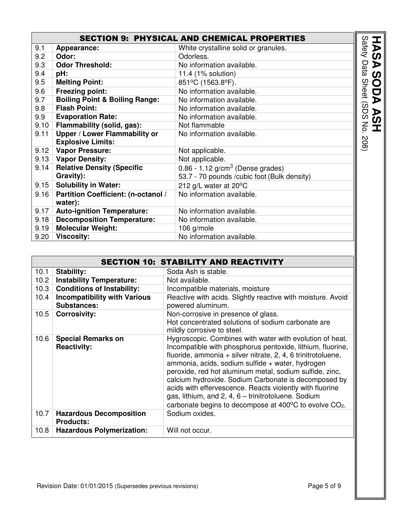|      | <b>SECTION 9: PHYSICAL AND CHEMICAL PROPERTIES</b> |                                                |                         |  |
|------|----------------------------------------------------|------------------------------------------------|-------------------------|--|
| 9.1  | Appearance:                                        | White crystalline solid or granules.           | Safety                  |  |
| 9.2  | Odor:                                              | Odorless.                                      |                         |  |
| 9.3  | <b>Odor Threshold:</b>                             | No information available.                      | Data                    |  |
| 9.4  | pH:                                                | 11.4 (1% solution)                             |                         |  |
| 9.5  | <b>Melting Point:</b>                              | 851°C (1563.8°F).                              | <b>Sheet</b>            |  |
| 9.6  | <b>Freezing point:</b>                             | No information available.                      |                         |  |
| 9.7  | <b>Boiling Point &amp; Boiling Range:</b>          | No information available.                      |                         |  |
| 9.8  | <b>Flash Point:</b>                                | No information available.                      | $\widehat{\omega}$<br>ヮ |  |
| 9.9  | <b>Evaporation Rate:</b>                           | No information available.                      | ၯ                       |  |
| 9.10 | Flammability (solid, gas):                         | Not flammable                                  | ξ                       |  |
| 9.11 | Upper / Lower Flammability or                      | No information available.                      |                         |  |
|      | <b>Explosive Limits:</b>                           |                                                | 208)                    |  |
|      | 9.12 Vapor Pressure:                               | Not applicable.                                |                         |  |
|      | 9.13   Vapor Density:                              | Not applicable.                                |                         |  |
| 9.14 | <b>Relative Density (Specific</b>                  | $0.86 - 1.12$ g/cm <sup>3</sup> (Dense grades) |                         |  |
|      | Gravity):                                          | 53.7 - 70 pounds / cubic foot (Bulk density)   |                         |  |
| 9.15 | <b>Solubility in Water:</b>                        | 212 g/L water at 20°C                          |                         |  |
| 9.16 | Partition Coefficient: (n-octanol /                | No information available.                      |                         |  |
|      | water):                                            |                                                |                         |  |
| 9.17 | <b>Auto-ignition Temperature:</b>                  | No information available.                      |                         |  |
| 9.18 | <b>Decomposition Temperature:</b>                  | No information available.                      |                         |  |
| 9.19 | <b>Molecular Weight:</b>                           | 106 g/mole                                     |                         |  |
| 9.20 | <b>Viscosity:</b>                                  | No information available.                      |                         |  |

|      |                                                           | <b>SECTION 10: STABILITY AND REACTIVITY</b>                                                                                                                                                                                                                                                                                                                                                                                                                                                                                                                                 |
|------|-----------------------------------------------------------|-----------------------------------------------------------------------------------------------------------------------------------------------------------------------------------------------------------------------------------------------------------------------------------------------------------------------------------------------------------------------------------------------------------------------------------------------------------------------------------------------------------------------------------------------------------------------------|
| 10.1 | <b>Stability:</b>                                         | Soda Ash is stable.                                                                                                                                                                                                                                                                                                                                                                                                                                                                                                                                                         |
| 10.2 | <b>Instability Temperature:</b>                           | Not available.                                                                                                                                                                                                                                                                                                                                                                                                                                                                                                                                                              |
| 10.3 | <b>Conditions of Instability:</b>                         | Incompatible materials, moisture                                                                                                                                                                                                                                                                                                                                                                                                                                                                                                                                            |
| 10.4 | <b>Incompatibility with Various</b><br><b>Substances:</b> | Reactive with acids. Slightly reactive with moisture. Avoid<br>powered aluminum.                                                                                                                                                                                                                                                                                                                                                                                                                                                                                            |
| 10.5 | <b>Corrosivity:</b>                                       | Non-corrosive in presence of glass.<br>Hot concentrated solutions of sodium carbonate are<br>mildly corrosive to steel.                                                                                                                                                                                                                                                                                                                                                                                                                                                     |
| 10.6 | <b>Special Remarks on</b><br><b>Reactivity:</b>           | Hygroscopic. Combines with water with evolution of heat.<br>Incompatible with phosphorus pentoxide, lithium, fluorine,<br>fluoride, ammonia + silver nitrate, 2, 4, 6 trinitrotoluene,<br>ammonia, acids, sodium sulfide + water, hydrogen<br>peroxide, red hot aluminum metal, sodium sulfide, zinc,<br>calcium hydroxide. Sodium Carbonate is decomposed by<br>acids with effervescence. Reacts violently with fluorine<br>gas, lithium, and 2, 4, 6 - trinitrotoluene. Sodium<br>carbonate begins to decompose at 400 $\mathrm{^{\circ}C}$ to evolve $\mathrm{CO}_{2}$ . |
| 10.7 | <b>Hazardous Decomposition</b><br><b>Products:</b>        | Sodium oxides.                                                                                                                                                                                                                                                                                                                                                                                                                                                                                                                                                              |
| 10.8 | <b>Hazardous Polymerization:</b>                          | Will not occur.                                                                                                                                                                                                                                                                                                                                                                                                                                                                                                                                                             |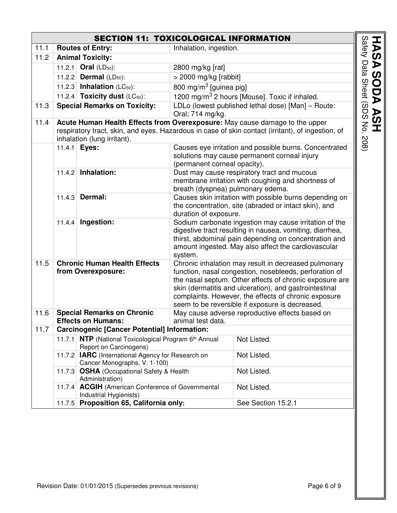|      |        | <b>SECTION 11: TOXICOLOGICAL INFORMATION</b>                                                       |                                    |                                                                                                                                                                                                                                                                                                                                                |                                        |
|------|--------|----------------------------------------------------------------------------------------------------|------------------------------------|------------------------------------------------------------------------------------------------------------------------------------------------------------------------------------------------------------------------------------------------------------------------------------------------------------------------------------------------|----------------------------------------|
| 11.1 |        | <b>Routes of Entry:</b>                                                                            | Inhalation, ingestion.             |                                                                                                                                                                                                                                                                                                                                                |                                        |
| 11.2 |        | <b>Animal Toxicity:</b>                                                                            |                                    |                                                                                                                                                                                                                                                                                                                                                |                                        |
|      |        | 11.2.1 Oral (LD <sub>50</sub> ):                                                                   | 2800 mg/kg [rat]                   |                                                                                                                                                                                                                                                                                                                                                |                                        |
|      |        | 11.2.2 <b>Dermal</b> (LD <sub>50</sub> ):                                                          | > 2000 mg/kg [rabbit]              |                                                                                                                                                                                                                                                                                                                                                |                                        |
|      |        | 11.2.3 <b>Inhalation</b> ( $LC_{50}$ ):                                                            | 800 mg/m <sup>3</sup> [guinea pig] |                                                                                                                                                                                                                                                                                                                                                |                                        |
|      |        | 11.2.4 Toxicity dust (LC <sub>50</sub> ):                                                          |                                    | 1200 mg/m <sup>3</sup> 2 hours [Mouse]. Toxic if inhaled.                                                                                                                                                                                                                                                                                      |                                        |
| 11.3 |        | <b>Special Remarks on Toxicity:</b>                                                                | Oral; 714 mg/kg.                   | LDLo (lowest published lethal dose) [Man] - Route:                                                                                                                                                                                                                                                                                             | <b>HASA SODA ASH<br/>HASA SODA ASH</b> |
| 11.4 |        | inhalation (lung irritant).                                                                        |                                    | Acute Human Health Effects from Overexposure: May cause damage to the upper<br>respiratory tract, skin, and eyes. Hazardous in case of skin contact (irritant), of ingestion, of                                                                                                                                                               | $-208$                                 |
|      |        | 11.4.1 <b>Eyes:</b>                                                                                | (permanent corneal opacity).       | Causes eye irritation and possible burns. Concentrated<br>solutions may cause permanent corneal injury                                                                                                                                                                                                                                         |                                        |
|      |        | 11.4.2 Inhalation:                                                                                 | breath (dyspnea) pulmonary edema.  | Dust may cause respiratory tract and mucous<br>membrane irritation with coughing and shortness of                                                                                                                                                                                                                                              |                                        |
|      | 11.4.3 | Dermal:                                                                                            | duration of exposure.              | Causes skin irritation with possible burns depending on<br>the concentration, site (abraded or intact skin), and                                                                                                                                                                                                                               |                                        |
|      | 11.4.4 | Ingestion:                                                                                         | system.                            | Sodium carbonate ingestion may cause irritation of the<br>digestive tract resulting in nausea, vomiting, diarrhea,<br>thirst, abdominal pain depending on concentration and<br>amount ingested. May also affect the cardiovascular                                                                                                             |                                        |
| 11.5 |        | <b>Chronic Human Health Effects</b><br>from Overexposure:                                          |                                    | Chronic inhalation may result in decreased pulmonary<br>function, nasal congestion, nosebleeds, perforation of<br>the nasal septum. Other effects of chronic exposure are<br>skin (dermatitis and ulceration), and gastrointestinal<br>complaints. However, the effects of chronic exposure<br>seem to be reversible if exposure is decreased. |                                        |
| 11.6 |        | <b>Special Remarks on Chronic</b>                                                                  |                                    | May cause adverse reproductive effects based on                                                                                                                                                                                                                                                                                                |                                        |
|      |        | <b>Effects on Humans:</b>                                                                          | animal test data.                  |                                                                                                                                                                                                                                                                                                                                                |                                        |
| 11.7 |        | <b>Carcinogenic [Cancer Potential] Information:</b>                                                |                                    |                                                                                                                                                                                                                                                                                                                                                |                                        |
|      |        | 11.7.1 <b>NTP</b> (National Toxicological Program 6 <sup>th</sup> Annual<br>Report on Carcinogens) |                                    | Not Listed.                                                                                                                                                                                                                                                                                                                                    |                                        |
|      |        | 11.7.2 <b>IARC</b> (International Agency for Research on<br>Cancer Monographs, V. 1-100)           |                                    | Not Listed.                                                                                                                                                                                                                                                                                                                                    |                                        |
|      |        | 11.7.3 OSHA (Occupational Safety & Health<br>Administration)                                       |                                    | Not Listed.                                                                                                                                                                                                                                                                                                                                    |                                        |
|      |        | 11.7.4 ACGIH (American Conference of Governmental<br>Industrial Hygienists)                        |                                    | Not Listed.                                                                                                                                                                                                                                                                                                                                    |                                        |
|      |        | 11.7.5 Proposition 65, California only:                                                            |                                    | See Section 15.2.1                                                                                                                                                                                                                                                                                                                             |                                        |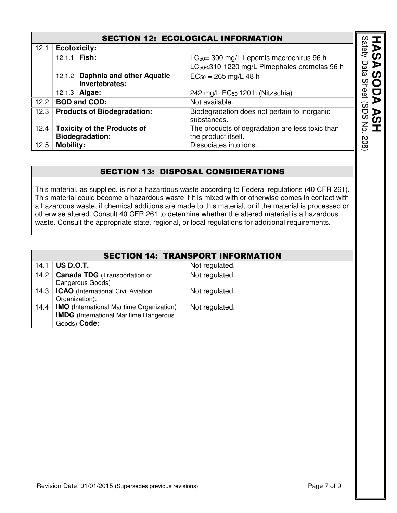#### SECTION 12: ECOLOGICAL INFORMATION

|                                                              | <b>SECTION 12: ECOLOGICAL INFORMATION</b>             |                                                              |                                                                                                                  |                         |  |
|--------------------------------------------------------------|-------------------------------------------------------|--------------------------------------------------------------|------------------------------------------------------------------------------------------------------------------|-------------------------|--|
| 12.1                                                         | <b>Ecotoxicity:</b>                                   |                                                              |                                                                                                                  |                         |  |
|                                                              |                                                       | 12.1.1 Fish:                                                 | LC <sub>50</sub> = 300 mg/L Lepomis macrochirus 96 h<br>LC <sub>50</sub> <310-1220 mg/L Pimephales promelas 96 h | <b>Safety</b><br>Data   |  |
|                                                              | Daphnia and other Aquatic<br>12.1.2<br>Invertebrates: |                                                              | $EC_{50} = 265$ mg/L 48 h                                                                                        | <b>Sheet</b>            |  |
| 12.1.3 Algae:<br>242 mg/L EC <sub>50</sub> 120 h (Nitzschia) |                                                       |                                                              |                                                                                                                  |                         |  |
| 12.2                                                         |                                                       | <b>BOD and COD:</b>                                          | Not available.                                                                                                   | $\widehat{\bm{\omega}}$ |  |
| 12.3                                                         |                                                       | <b>Products of Biodegradation:</b>                           | Biodegradation does not pertain to inorganic<br>substances.                                                      | DS                      |  |
| 12.4                                                         |                                                       | <b>Toxicity of the Products of</b><br><b>Biodegradation:</b> | The products of degradation are less toxic than<br>the product itself.                                           | 중                       |  |
| 12.5                                                         | <b>Mobility:</b>                                      |                                                              | Dissociates into ions.                                                                                           | 208)                    |  |

#### SECTION 13: DISPOSAL CONSIDERATIONS

This material, as supplied, is not a hazardous waste according to Federal regulations (40 CFR 261). This material could become a hazardous waste if it is mixed with or otherwise comes in contact with a hazardous waste, if chemical additions are made to this material, or if the material is processed or otherwise altered. Consult 40 CFR 261 to determine whether the altered material is a hazardous waste. Consult the appropriate state, regional, or local regulations for additional requirements.

| <b>SECTION 14: TRANSPORT INFORMATION</b> |                                                                                                                   |                |  |  |
|------------------------------------------|-------------------------------------------------------------------------------------------------------------------|----------------|--|--|
| 14.1                                     | US D.O.T.                                                                                                         | Not regulated. |  |  |
| 14.2                                     | <b>Canada TDG</b> (Transportation of<br>Dangerous Goods)                                                          | Not regulated. |  |  |
|                                          | 14.3   ICAO (International Civil Aviation<br>Organization):                                                       | Not regulated. |  |  |
| 14.4                                     | <b>IMO</b> (International Maritime Organization)<br><b>IMDG</b> (International Maritime Dangerous<br>Goods) Code: | Not regulated. |  |  |

**HASA**

**SODA ASH** 

 $\blacktriangleright$ 

**ASH**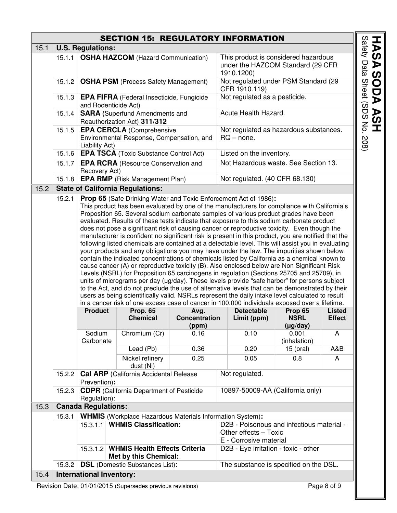### SECTION 15: REGULATORY INFORMATION

| 15.1 | <b>U.S. Regulations:</b>                                                                                                                                                                                                                                                                                                                                                                                                                                                                                                                                                                                                                                                                                                                                                                                                                                                                                                                                                                                                                                                                                                                                                                                                                                                                                                                                                                                                                                                                                                                                                                                                                                                                                                                                                                                                                                                           |                                                                                                 |                                                                  |                                                       |                                                                                         |                                                                                                                                      |  |  |  |
|------|------------------------------------------------------------------------------------------------------------------------------------------------------------------------------------------------------------------------------------------------------------------------------------------------------------------------------------------------------------------------------------------------------------------------------------------------------------------------------------------------------------------------------------------------------------------------------------------------------------------------------------------------------------------------------------------------------------------------------------------------------------------------------------------------------------------------------------------------------------------------------------------------------------------------------------------------------------------------------------------------------------------------------------------------------------------------------------------------------------------------------------------------------------------------------------------------------------------------------------------------------------------------------------------------------------------------------------------------------------------------------------------------------------------------------------------------------------------------------------------------------------------------------------------------------------------------------------------------------------------------------------------------------------------------------------------------------------------------------------------------------------------------------------------------------------------------------------------------------------------------------------|-------------------------------------------------------------------------------------------------|------------------------------------------------------------------|-------------------------------------------------------|-----------------------------------------------------------------------------------------|--------------------------------------------------------------------------------------------------------------------------------------|--|--|--|
|      | 15.1.1                                                                                                                                                                                                                                                                                                                                                                                                                                                                                                                                                                                                                                                                                                                                                                                                                                                                                                                                                                                                                                                                                                                                                                                                                                                                                                                                                                                                                                                                                                                                                                                                                                                                                                                                                                                                                                                                             | <b>OSHA HAZCOM (Hazard Communication)</b>                                                       |                                                                  |                                                       | This product is considered hazardous<br>under the HAZCOM Standard (29 CFR<br>1910.1200) |                                                                                                                                      |  |  |  |
|      | 15.1.2                                                                                                                                                                                                                                                                                                                                                                                                                                                                                                                                                                                                                                                                                                                                                                                                                                                                                                                                                                                                                                                                                                                                                                                                                                                                                                                                                                                                                                                                                                                                                                                                                                                                                                                                                                                                                                                                             | <b>OSHA PSM</b> (Process Safety Management)                                                     |                                                                  | Not regulated under PSM Standard (29<br>CFR 1910.119) |                                                                                         |                                                                                                                                      |  |  |  |
|      | 15.1.3                                                                                                                                                                                                                                                                                                                                                                                                                                                                                                                                                                                                                                                                                                                                                                                                                                                                                                                                                                                                                                                                                                                                                                                                                                                                                                                                                                                                                                                                                                                                                                                                                                                                                                                                                                                                                                                                             | EPA FIFRA (Federal Insecticide, Fungicide<br>and Rodenticide Act)                               |                                                                  |                                                       | Not regulated as a pesticide.                                                           |                                                                                                                                      |  |  |  |
|      | 15.1.4                                                                                                                                                                                                                                                                                                                                                                                                                                                                                                                                                                                                                                                                                                                                                                                                                                                                                                                                                                                                                                                                                                                                                                                                                                                                                                                                                                                                                                                                                                                                                                                                                                                                                                                                                                                                                                                                             | <b>SARA</b> (Superfund Amendments and<br>Reauthorization Act) 311/312                           |                                                                  |                                                       | Acute Health Hazard.                                                                    |                                                                                                                                      |  |  |  |
|      | 15.1.5                                                                                                                                                                                                                                                                                                                                                                                                                                                                                                                                                                                                                                                                                                                                                                                                                                                                                                                                                                                                                                                                                                                                                                                                                                                                                                                                                                                                                                                                                                                                                                                                                                                                                                                                                                                                                                                                             | <b>EPA CERCLA (Comprehensive</b><br>Environmental Response, Compensation, and<br>Liability Act) |                                                                  |                                                       | Not regulated as hazardous substances.<br>$RQ$ – none.                                  |                                                                                                                                      |  |  |  |
|      | 15.1.6                                                                                                                                                                                                                                                                                                                                                                                                                                                                                                                                                                                                                                                                                                                                                                                                                                                                                                                                                                                                                                                                                                                                                                                                                                                                                                                                                                                                                                                                                                                                                                                                                                                                                                                                                                                                                                                                             | <b>EPA TSCA</b> (Toxic Substance Control Act)                                                   |                                                                  |                                                       | Listed on the inventory.                                                                |                                                                                                                                      |  |  |  |
|      | 15.1.7<br><b>EPA RCRA</b> (Resource Conservation and<br>Recovery Act)                                                                                                                                                                                                                                                                                                                                                                                                                                                                                                                                                                                                                                                                                                                                                                                                                                                                                                                                                                                                                                                                                                                                                                                                                                                                                                                                                                                                                                                                                                                                                                                                                                                                                                                                                                                                              |                                                                                                 |                                                                  |                                                       | Not Hazardous waste. See Section 13.                                                    |                                                                                                                                      |  |  |  |
|      | <b>EPA RMP</b> (Risk Management Plan)<br>Not regulated. (40 CFR 68.130)<br>15.1.8                                                                                                                                                                                                                                                                                                                                                                                                                                                                                                                                                                                                                                                                                                                                                                                                                                                                                                                                                                                                                                                                                                                                                                                                                                                                                                                                                                                                                                                                                                                                                                                                                                                                                                                                                                                                  |                                                                                                 |                                                                  |                                                       |                                                                                         |                                                                                                                                      |  |  |  |
| 15.2 |                                                                                                                                                                                                                                                                                                                                                                                                                                                                                                                                                                                                                                                                                                                                                                                                                                                                                                                                                                                                                                                                                                                                                                                                                                                                                                                                                                                                                                                                                                                                                                                                                                                                                                                                                                                                                                                                                    |                                                                                                 | <b>State of California Regulations:</b>                          |                                                       |                                                                                         |                                                                                                                                      |  |  |  |
|      | 15.2.1<br>Prop 65 (Safe Drinking Water and Toxic Enforcement Act of 1986):<br>This product has been evaluated by one of the manufacturers for compliance with California's<br>Proposition 65. Several sodium carbonate samples of various product grades have been<br>evaluated. Results of these tests indicate that exposure to this sodium carbonate product<br>does not pose a significant risk of causing cancer or reproductive toxicity. Even though the<br>manufacturer is confident no significant risk is present in this product, you are notified that the<br>following listed chemicals are contained at a detectable level. This will assist you in evaluating<br>your products and any obligations you may have under the law. The impurities shown below<br>contain the indicated concentrations of chemicals listed by California as a chemical known to<br>cause cancer (A) or reproductive toxicity (B). Also enclosed below are Non Significant Risk<br>Levels (NSRL) for Proposition 65 carcinogens in regulation (Sections 25705 and 25709), in<br>units of micrograms per day (µg/day). These levels provide "safe harbor" for persons subject<br>to the Act, and do not preclude the use of alternative levels that can be demonstrated by their<br>users as being scientifically valid. NSRLs represent the daily intake level calculated to result<br>in a cancer risk of one excess case of cancer in 100,000 individuals exposed over a lifetime.<br><b>Product</b><br><b>Prop. 65</b><br><b>Detectable</b><br>Prop 65<br>Avg.<br><b>Listed</b><br><b>Concentration</b><br><b>Chemical</b><br><b>NSRL</b><br><b>Effect</b><br>Limit (ppm)<br>$(\mu g / day)$<br>(ppm)<br>Chromium (Cr)<br>Sodium<br>0.16<br>0.10<br>0.001<br>A<br>(inhalation)<br>Carbonate<br>Lead (Pb)<br>0.36<br>A&B<br>0.20<br>15 (oral)<br>Nickel refinery<br>0.25<br>0.05<br>0.8 |                                                                                                 |                                                                  |                                                       |                                                                                         | A                                                                                                                                    |  |  |  |
|      | 15.2.2                                                                                                                                                                                                                                                                                                                                                                                                                                                                                                                                                                                                                                                                                                                                                                                                                                                                                                                                                                                                                                                                                                                                                                                                                                                                                                                                                                                                                                                                                                                                                                                                                                                                                                                                                                                                                                                                             | dust (Ni)<br><b>Cal ARP</b> (California Accidental Release<br>Not regulated.                    |                                                                  |                                                       |                                                                                         |                                                                                                                                      |  |  |  |
|      | 15.2.3                                                                                                                                                                                                                                                                                                                                                                                                                                                                                                                                                                                                                                                                                                                                                                                                                                                                                                                                                                                                                                                                                                                                                                                                                                                                                                                                                                                                                                                                                                                                                                                                                                                                                                                                                                                                                                                                             | Prevention):<br>Regulation):                                                                    | <b>CDPR</b> (California Department of Pesticide                  |                                                       |                                                                                         | 10897-50009-AA (California only)                                                                                                     |  |  |  |
| 15.3 |                                                                                                                                                                                                                                                                                                                                                                                                                                                                                                                                                                                                                                                                                                                                                                                                                                                                                                                                                                                                                                                                                                                                                                                                                                                                                                                                                                                                                                                                                                                                                                                                                                                                                                                                                                                                                                                                                    | <b>Canada Regulations:</b>                                                                      |                                                                  |                                                       |                                                                                         |                                                                                                                                      |  |  |  |
|      | 15.3.1                                                                                                                                                                                                                                                                                                                                                                                                                                                                                                                                                                                                                                                                                                                                                                                                                                                                                                                                                                                                                                                                                                                                                                                                                                                                                                                                                                                                                                                                                                                                                                                                                                                                                                                                                                                                                                                                             |                                                                                                 | <b>WHMIS</b> (Workplace Hazardous Materials Information System): |                                                       |                                                                                         |                                                                                                                                      |  |  |  |
|      |                                                                                                                                                                                                                                                                                                                                                                                                                                                                                                                                                                                                                                                                                                                                                                                                                                                                                                                                                                                                                                                                                                                                                                                                                                                                                                                                                                                                                                                                                                                                                                                                                                                                                                                                                                                                                                                                                    | 15.3.1.1<br>15.3.1.2                                                                            | <b>WHMIS Classification:</b>                                     | <b>WHMIS Health Effects Criteria</b>                  |                                                                                         | D2B - Poisonous and infectious material -<br>Other effects - Toxic<br>E - Corrosive material<br>D2B - Eye irritation - toxic - other |  |  |  |
|      |                                                                                                                                                                                                                                                                                                                                                                                                                                                                                                                                                                                                                                                                                                                                                                                                                                                                                                                                                                                                                                                                                                                                                                                                                                                                                                                                                                                                                                                                                                                                                                                                                                                                                                                                                                                                                                                                                    |                                                                                                 | Met by this Chemical:                                            |                                                       |                                                                                         |                                                                                                                                      |  |  |  |
|      | 15.3.2                                                                                                                                                                                                                                                                                                                                                                                                                                                                                                                                                                                                                                                                                                                                                                                                                                                                                                                                                                                                                                                                                                                                                                                                                                                                                                                                                                                                                                                                                                                                                                                                                                                                                                                                                                                                                                                                             |                                                                                                 | <b>DSL</b> (Domestic Substances List):                           |                                                       |                                                                                         | The substance is specified on the DSL.                                                                                               |  |  |  |
| 15.4 | <b>International Inventory:</b>                                                                                                                                                                                                                                                                                                                                                                                                                                                                                                                                                                                                                                                                                                                                                                                                                                                                                                                                                                                                                                                                                                                                                                                                                                                                                                                                                                                                                                                                                                                                                                                                                                                                                                                                                                                                                                                    |                                                                                                 |                                                                  |                                                       |                                                                                         |                                                                                                                                      |  |  |  |

Revision Date: 01/01/2015 (Supersedes previous revisions) Page 8 of 9

**HASA SODA ASH<br>Safety Data Sheet (SDS No. 208) SODA ASH**  Safety Data Sheet (SDS No. 208)